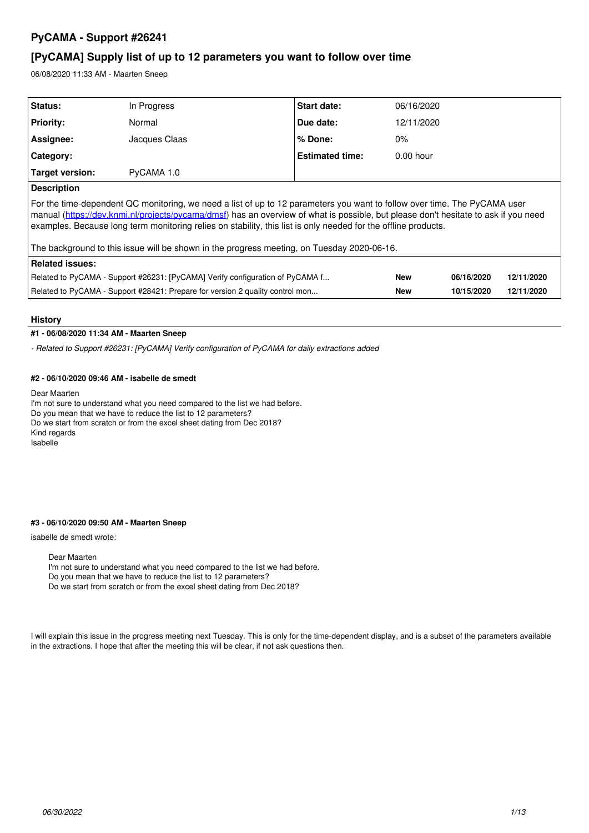# **PyCAMA - Support #26241**

# **[PyCAMA] Supply list of up to 12 parameters you want to follow over time**

06/08/2020 11:33 AM - Maarten Sneep

| <b>Status:</b>                                                                                                                                                                                                                                                                                                                                                                                                                                                                   | In Progress   | <b>Start date:</b>     | 06/16/2020  |            |            |  |
|----------------------------------------------------------------------------------------------------------------------------------------------------------------------------------------------------------------------------------------------------------------------------------------------------------------------------------------------------------------------------------------------------------------------------------------------------------------------------------|---------------|------------------------|-------------|------------|------------|--|
| <b>Priority:</b>                                                                                                                                                                                                                                                                                                                                                                                                                                                                 | Normal        | Due date:              | 12/11/2020  |            |            |  |
| Assignee:                                                                                                                                                                                                                                                                                                                                                                                                                                                                        | Jacques Claas | % Done:                | $0\%$       |            |            |  |
| Category:                                                                                                                                                                                                                                                                                                                                                                                                                                                                        |               | <b>Estimated time:</b> | $0.00$ hour |            |            |  |
| Target version:                                                                                                                                                                                                                                                                                                                                                                                                                                                                  | PyCAMA 1.0    |                        |             |            |            |  |
| <b>Description</b>                                                                                                                                                                                                                                                                                                                                                                                                                                                               |               |                        |             |            |            |  |
| For the time-dependent QC monitoring, we need a list of up to 12 parameters you want to follow over time. The PyCAMA user<br>manual (https://dev.knmi.nl/projects/pycama/dmsf) has an overview of what is possible, but please don't hesitate to ask if you need<br>examples. Because long term monitoring relies on stability, this list is only needed for the offline products.<br>The background to this issue will be shown in the progress meeting, on Tuesday 2020-06-16. |               |                        |             |            |            |  |
| <b>Related issues:</b>                                                                                                                                                                                                                                                                                                                                                                                                                                                           |               |                        |             |            |            |  |
| Related to PyCAMA - Support #26231: [PyCAMA] Verify configuration of PyCAMA f                                                                                                                                                                                                                                                                                                                                                                                                    |               |                        | <b>New</b>  | 06/16/2020 | 12/11/2020 |  |
| Related to PyCAMA - Support #28421: Prepare for version 2 quality control mon                                                                                                                                                                                                                                                                                                                                                                                                    |               | <b>New</b>             | 10/15/2020  | 12/11/2020 |            |  |

# **History**

# **#1 - 06/08/2020 11:34 AM - Maarten Sneep**

*- Related to Support #26231: [PyCAMA] Verify configuration of PyCAMA for daily extractions added*

# **#2 - 06/10/2020 09:46 AM - isabelle de smedt**

Dear Maarten

I'm not sure to understand what you need compared to the list we had before. Do you mean that we have to reduce the list to 12 parameters? Do we start from scratch or from the excel sheet dating from Dec 2018? Kind regards Isabelle

## **#3 - 06/10/2020 09:50 AM - Maarten Sneep**

isabelle de smedt wrote:

Dear Maarten

I'm not sure to understand what you need compared to the list we had before.

Do you mean that we have to reduce the list to 12 parameters?

Do we start from scratch or from the excel sheet dating from Dec 2018?

I will explain this issue in the progress meeting next Tuesday. This is only for the time-dependent display, and is a subset of the parameters available in the extractions. I hope that after the meeting this will be clear, if not ask questions then.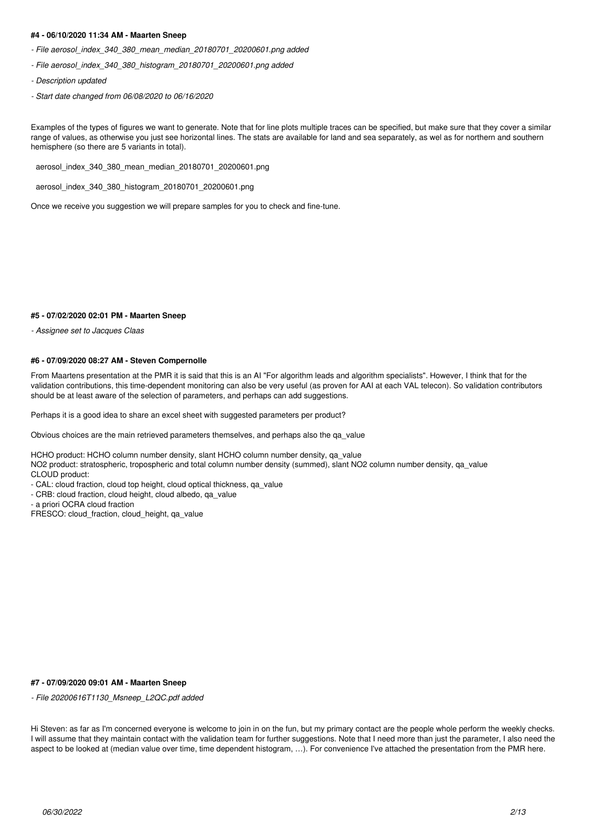# **#4 - 06/10/2020 11:34 AM - Maarten Sneep**

- *File aerosol\_index\_340\_380\_mean\_median\_20180701\_20200601.png added*
- *File aerosol\_index\_340\_380\_histogram\_20180701\_20200601.png added*
- *Description updated*
- *Start date changed from 06/08/2020 to 06/16/2020*

Examples of the types of figures we want to generate. Note that for line plots multiple traces can be specified, but make sure that they cover a similar range of values, as otherwise you just see horizontal lines. The stats are available for land and sea separately, as wel as for northern and southern hemisphere (so there are 5 variants in total).

aerosol\_index\_340\_380\_mean\_median\_20180701\_20200601.png

aerosol\_index\_340\_380\_histogram\_20180701\_20200601.png

Once we receive you suggestion we will prepare samples for you to check and fine-tune.

#### **#5 - 07/02/2020 02:01 PM - Maarten Sneep**

*- Assignee set to Jacques Claas*

#### **#6 - 07/09/2020 08:27 AM - Steven Compernolle**

From Maartens presentation at the PMR it is said that this is an AI "For algorithm leads and algorithm specialists". However, I think that for the validation contributions, this time-dependent monitoring can also be very useful (as proven for AAI at each VAL telecon). So validation contributors should be at least aware of the selection of parameters, and perhaps can add suggestions.

Perhaps it is a good idea to share an excel sheet with suggested parameters per product?

Obvious choices are the main retrieved parameters themselves, and perhaps also the qa\_value

HCHO product: HCHO column number density, slant HCHO column number density, qa\_value

NO2 product: stratospheric, tropospheric and total column number density (summed), slant NO2 column number density, qa\_value

CLOUD product:

- CAL: cloud fraction, cloud top height, cloud optical thickness, qa\_value

- CRB: cloud fraction, cloud height, cloud albedo, qa\_value
- a priori OCRA cloud fraction

FRESCO: cloud\_fraction, cloud\_height, qa\_value

### **#7 - 07/09/2020 09:01 AM - Maarten Sneep**

*- File 20200616T1130\_Msneep\_L2QC.pdf added*

Hi Steven: as far as I'm concerned everyone is welcome to join in on the fun, but my primary contact are the people whole perform the weekly checks. I will assume that they maintain contact with the validation team for further suggestions. Note that I need more than just the parameter, I also need the aspect to be looked at (median value over time, time dependent histogram, …). For convenience I've attached the presentation from the PMR here.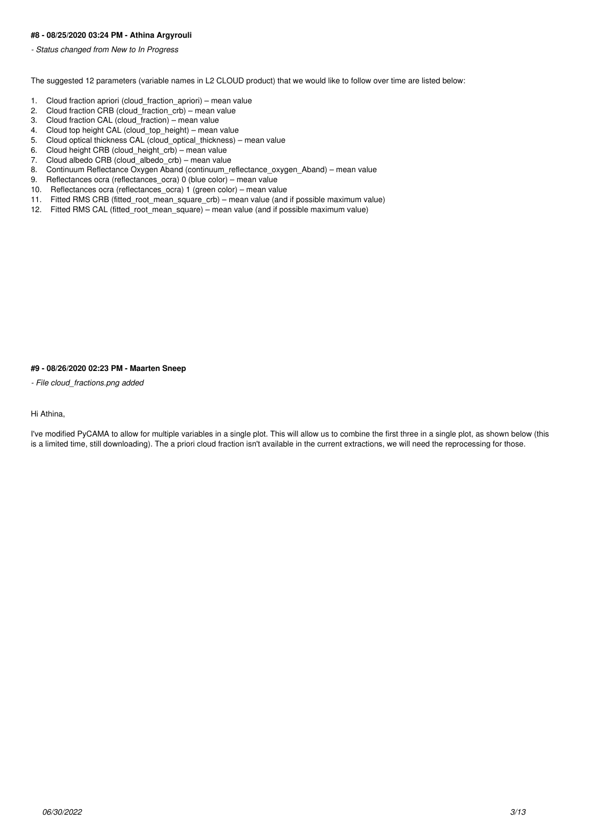# **#8 - 08/25/2020 03:24 PM - Athina Argyrouli**

*- Status changed from New to In Progress*

The suggested 12 parameters (variable names in L2 CLOUD product) that we would like to follow over time are listed below:

- 1. Cloud fraction apriori (cloud\_fraction\_apriori) mean value
- 2. Cloud fraction CRB (cloud\_fraction\_crb) mean value
- 3. Cloud fraction CAL  $\overline{(cloud\_fraction)}$  mean value
- 4. Cloud top height CAL (cloud top height) mean value
- 5. Cloud optical thickness CAL (cloud\_optical\_thickness) mean value
- 6. Cloud height CRB (cloud\_height\_crb) mean value
- 7. Cloud albedo CRB (cloud\_albedo\_crb) mean value<br>8. Continuum Reflectance Oxygen Aband (continuum re
- 8. Continuum Reflectance Oxygen Aband (continuum\_reflectance\_oxygen\_Aband) mean value
- 9. Reflectances ocra (reflectances\_ocra) 0 (blue color) mean value
- 10. Reflectances ocra (reflectances\_ocra) 1 (green color) mean value
- 11. Fitted RMS CRB (fitted\_root\_mean\_square\_crb) mean value (and if possible maximum value)
- 12. Fitted RMS CAL (fitted\_root\_mean\_square) mean value (and if possible maximum value)

#### **#9 - 08/26/2020 02:23 PM - Maarten Sneep**

*- File cloud\_fractions.png added*

# Hi Athina,

I've modified PyCAMA to allow for multiple variables in a single plot. This will allow us to combine the first three in a single plot, as shown below (this is a limited time, still downloading). The a priori cloud fraction isn't available in the current extractions, we will need the reprocessing for those.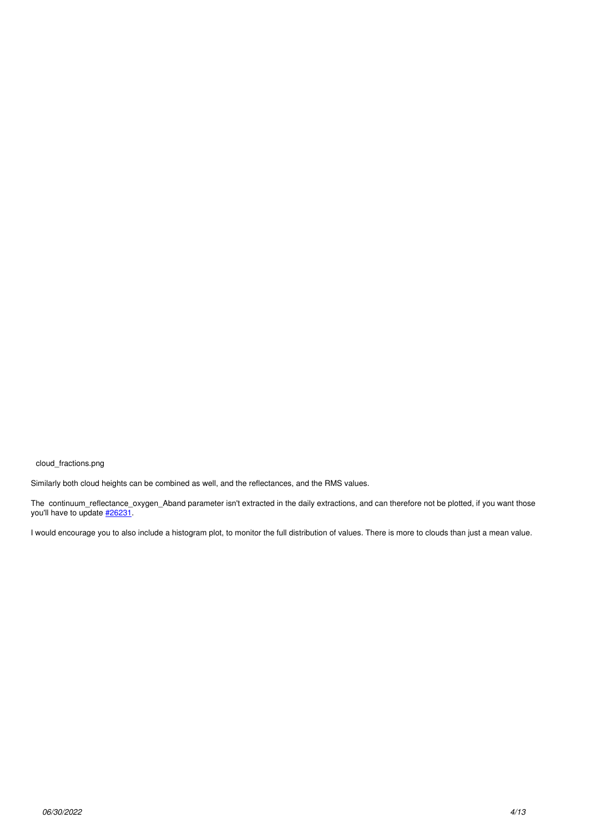cloud\_fractions.png

Similarly both cloud heights can be combined as well, and the reflectances, and the RMS values.

The continuum\_reflectance\_oxygen\_Aband parameter isn't extracted in the daily extractions, and can therefore not be plotted, if you want those you'll have to update [#26231](https://dev.knmi.nl/issues/26231).

I would encourage you to also include a histogram plot, to monitor the full distribution of values. There is more to clouds than just a mean value.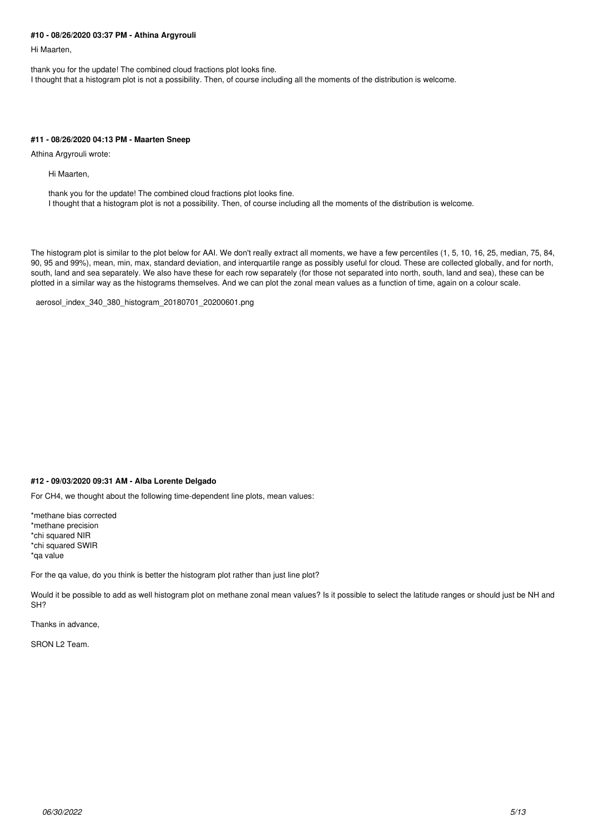#### **#10 - 08/26/2020 03:37 PM - Athina Argyrouli**

Hi Maarten,

thank you for the update! The combined cloud fractions plot looks fine. I thought that a histogram plot is not a possibility. Then, of course including all the moments of the distribution is welcome.

# **#11 - 08/26/2020 04:13 PM - Maarten Sneep**

Athina Argyrouli wrote:

Hi Maarten,

thank you for the update! The combined cloud fractions plot looks fine. I thought that a histogram plot is not a possibility. Then, of course including all the moments of the distribution is welcome.

The histogram plot is similar to the plot below for AAI. We don't really extract all moments, we have a few percentiles (1, 5, 10, 16, 25, median, 75, 84, 90, 95 and 99%), mean, min, max, standard deviation, and interquartile range as possibly useful for cloud. These are collected globally, and for north, south, land and sea separately. We also have these for each row separately (for those not separated into north, south, land and sea), these can be plotted in a similar way as the histograms themselves. And we can plot the zonal mean values as a function of time, again on a colour scale.

aerosol\_index\_340\_380\_histogram\_20180701\_20200601.png

# **#12 - 09/03/2020 09:31 AM - Alba Lorente Delgado**

For CH4, we thought about the following time-dependent line plots, mean values:

\*methane bias corrected \*methane precision \*chi squared NIR \*chi squared SWIR \*qa value

For the qa value, do you think is better the histogram plot rather than just line plot?

Would it be possible to add as well histogram plot on methane zonal mean values? Is it possible to select the latitude ranges or should just be NH and SH?

Thanks in advance,

SRON L2 Team.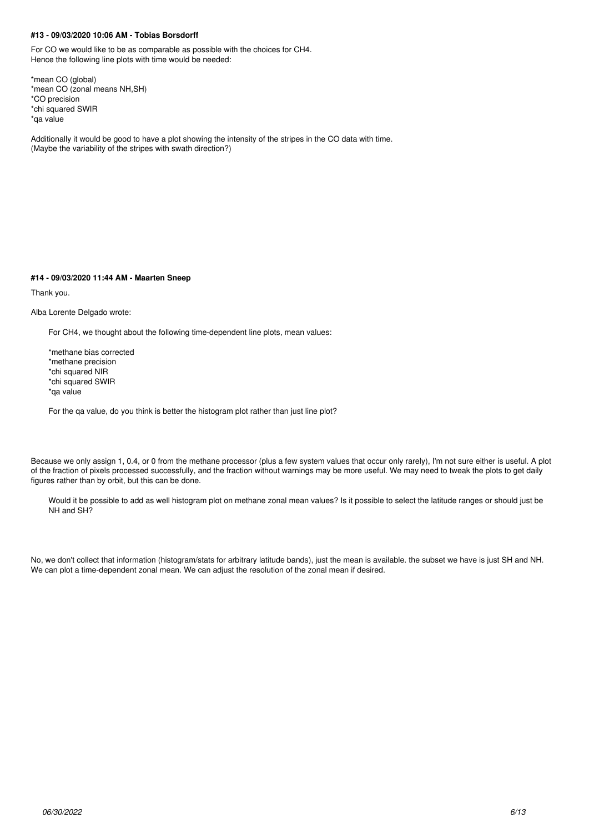# **#13 - 09/03/2020 10:06 AM - Tobias Borsdorff**

For CO we would like to be as comparable as possible with the choices for CH4. Hence the following line plots with time would be needed:

\*mean CO (global) \*mean CO (zonal means NH,SH) \*CO precision \*chi squared SWIR \*qa value

Additionally it would be good to have a plot showing the intensity of the stripes in the CO data with time. (Maybe the variability of the stripes with swath direction?)

#### **#14 - 09/03/2020 11:44 AM - Maarten Sneep**

Thank you.

Alba Lorente Delgado wrote:

For CH4, we thought about the following time-dependent line plots, mean values:

\*methane bias corrected \*methane precision \*chi squared NIR \*chi squared SWIR \*qa value

For the ga value, do you think is better the histogram plot rather than just line plot?

Because we only assign 1, 0.4, or 0 from the methane processor (plus a few system values that occur only rarely), I'm not sure either is useful. A plot of the fraction of pixels processed successfully, and the fraction without warnings may be more useful. We may need to tweak the plots to get daily figures rather than by orbit, but this can be done.

Would it be possible to add as well histogram plot on methane zonal mean values? Is it possible to select the latitude ranges or should just be NH and SH?

No, we don't collect that information (histogram/stats for arbitrary latitude bands), just the mean is available. the subset we have is just SH and NH. We can plot a time-dependent zonal mean. We can adjust the resolution of the zonal mean if desired.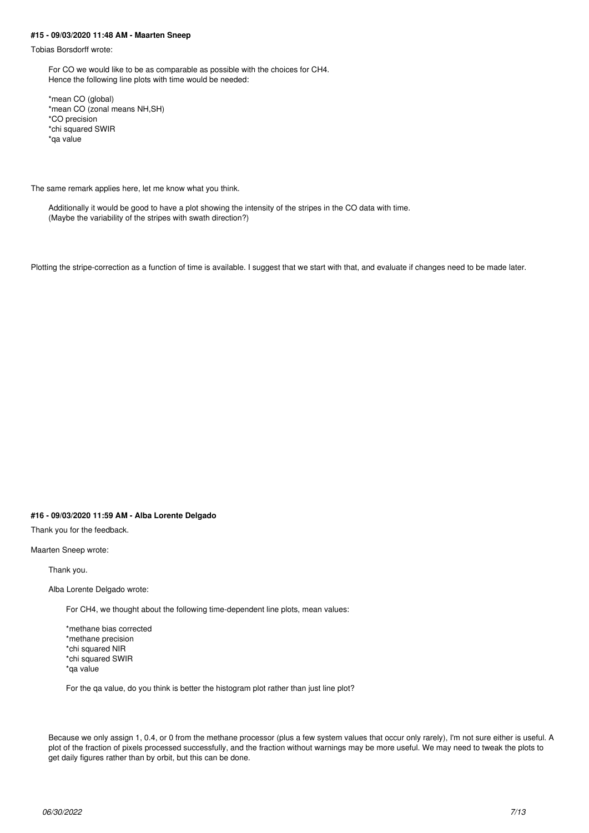#### **#15 - 09/03/2020 11:48 AM - Maarten Sneep**

Tobias Borsdorff wrote:

For CO we would like to be as comparable as possible with the choices for CH4. Hence the following line plots with time would be needed:

\*mean CO (global) \*mean CO (zonal means NH,SH) \*CO precision \*chi squared SWIR \*qa value

The same remark applies here, let me know what you think.

Additionally it would be good to have a plot showing the intensity of the stripes in the CO data with time. (Maybe the variability of the stripes with swath direction?)

Plotting the stripe-correction as a function of time is available. I suggest that we start with that, and evaluate if changes need to be made later.

# **#16 - 09/03/2020 11:59 AM - Alba Lorente Delgado**

Thank you for the feedback.

Maarten Sneep wrote:

Thank you.

Alba Lorente Delgado wrote:

For CH4, we thought about the following time-dependent line plots, mean values:

\*methane bias corrected \*methane precision \*chi squared NIR \*chi squared SWIR \*qa value

For the qa value, do you think is better the histogram plot rather than just line plot?

Because we only assign 1, 0.4, or 0 from the methane processor (plus a few system values that occur only rarely), I'm not sure either is useful. A plot of the fraction of pixels processed successfully, and the fraction without warnings may be more useful. We may need to tweak the plots to get daily figures rather than by orbit, but this can be done.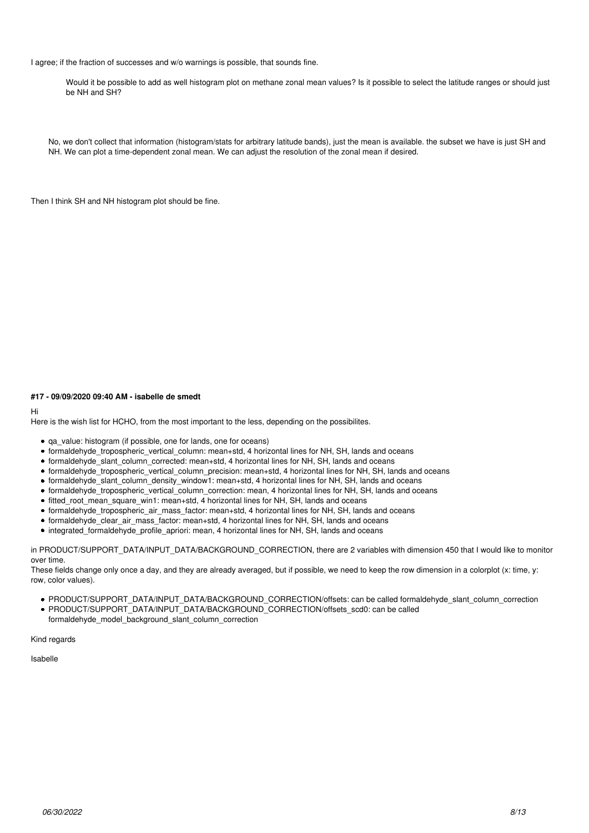I agree; if the fraction of successes and w/o warnings is possible, that sounds fine.

Would it be possible to add as well histogram plot on methane zonal mean values? Is it possible to select the latitude ranges or should just be NH and SH?

No, we don't collect that information (histogram/stats for arbitrary latitude bands), just the mean is available. the subset we have is just SH and NH. We can plot a time-dependent zonal mean. We can adjust the resolution of the zonal mean if desired.

Then I think SH and NH histogram plot should be fine.

# **#17 - 09/09/2020 09:40 AM - isabelle de smedt**

Hi

Here is the wish list for HCHO, from the most important to the less, depending on the possibilites.

- qa\_value: histogram (if possible, one for lands, one for oceans)
- formaldehyde\_tropospheric\_vertical\_column: mean+std, 4 horizontal lines for NH, SH, lands and oceans
- formaldehyde\_slant\_column\_corrected: mean+std, 4 horizontal lines for NH, SH, lands and oceans
- formaldehyde\_tropospheric\_vertical\_column\_precision: mean+std, 4 horizontal lines for NH, SH, lands and oceans
- formaldehyde\_slant\_column\_density\_window1: mean+std, 4 horizontal lines for NH, SH, lands and oceans
- formaldehyde\_tropospheric\_vertical\_column\_correction: mean, 4 horizontal lines for NH, SH, lands and oceans
- fitted root mean square win1: mean+std, 4 horizontal lines for NH, SH, lands and oceans
- formaldehyde\_tropospheric\_air\_mass\_factor: mean+std, 4 horizontal lines for NH, SH, lands and oceans
- formaldehyde\_clear\_air\_mass\_factor: mean+std, 4 horizontal lines for NH, SH, lands and oceans
- integrated formaldehyde profile apriori: mean, 4 horizontal lines for NH, SH, lands and oceans

in PRODUCT/SUPPORT\_DATA/INPUT\_DATA/BACKGROUND\_CORRECTION, there are 2 variables with dimension 450 that I would like to monitor over time.

These fields change only once a day, and they are already averaged, but if possible, we need to keep the row dimension in a colorplot (x: time, y: row, color values).

- PRODUCT/SUPPORT\_DATA/INPUT\_DATA/BACKGROUND\_CORRECTION/offsets: can be called formaldehyde\_slant\_column\_correction
- PRODUCT/SUPPORT\_DATA/INPUT\_DATA/BACKGROUND\_CORRECTION/offsets\_scd0: can be called
- formaldehyde\_model\_background\_slant\_column\_correction

Kind regards

Isabelle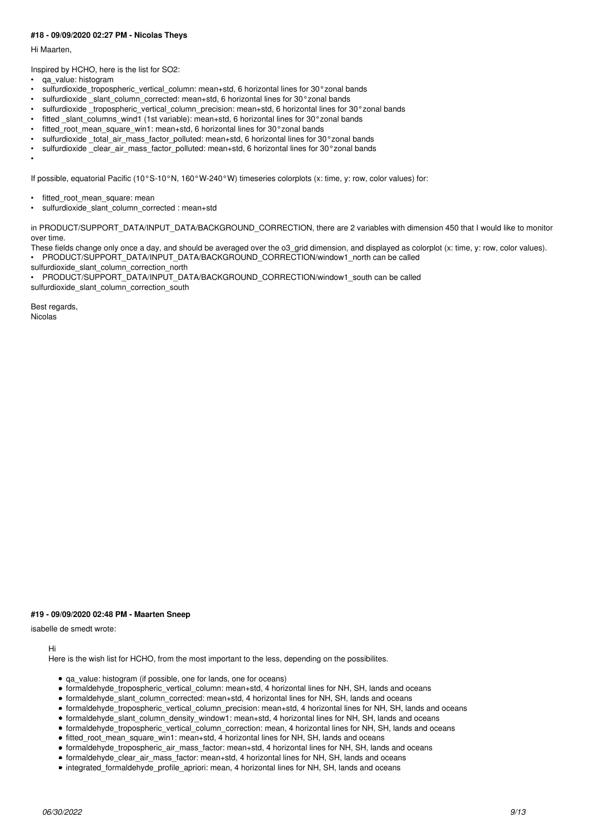## **#18 - 09/09/2020 02:27 PM - Nicolas Theys**

Hi Maarten,

Inspired by HCHO, here is the list for SO2:

- qa\_value: histogram
- sulfurdioxide\_tropospheric\_vertical\_column: mean+std, 6 horizontal lines for 30°zonal bands
- sulfurdioxide slant column corrected: mean+std, 6 horizontal lines for 30°zonal bands
- sulfurdioxide tropospheric vertical column precision: mean+std, 6 horizontal lines for 30°zonal bands
- fitted slant columns wind1 (1st variable): mean+std, 6 horizontal lines for 30°zonal bands
- fitted root mean square win1: mean+std, 6 horizontal lines for 30°zonal bands
- sulfurdioxide total air mass factor polluted: mean+std, 6 horizontal lines for 30°zonal bands
- sulfurdioxide clear air mass factor polluted: mean+std, 6 horizontal lines for 30°zonal bands

•

If possible, equatorial Pacific (10°S-10°N, 160°W-240°W) timeseries colorplots (x: time, y: row, color values) for:

- fitted\_root\_mean\_square: mean
- sulfurdioxide\_slant\_column\_corrected : mean+std

in PRODUCT/SUPPORT\_DATA/INPUT\_DATA/BACKGROUND\_CORRECTION, there are 2 variables with dimension 450 that I would like to monitor over time.

These fields change only once a day, and should be averaged over the o3 grid dimension, and displayed as colorplot (x: time, y: row, color values). PRODUCT/SUPPORT\_DATA/INPUT\_DATA/BACKGROUND\_CORRECTION/window1\_north can be called

sulfurdioxide\_slant\_column\_correction\_north

PRODUCT/SUPPORT\_DATA/INPUT\_DATA/BACKGROUND\_CORRECTION/window1\_south can be called sulfurdioxide\_slant\_column\_correction\_south

Best regards,

**Nicolas** 

# **#19 - 09/09/2020 02:48 PM - Maarten Sneep**

isabelle de smedt wrote:

Hi

Here is the wish list for HCHO, from the most important to the less, depending on the possibilites.

- qa\_value: histogram (if possible, one for lands, one for oceans)
- formaldehyde\_tropospheric\_vertical\_column: mean+std, 4 horizontal lines for NH, SH, lands and oceans
- formaldehyde\_slant\_column\_corrected: mean+std, 4 horizontal lines for NH, SH, lands and oceans
- formaldehyde tropospheric\_vertical\_column\_precision: mean+std, 4 horizontal lines for NH, SH, lands and oceans
- formaldehyde\_slant\_column\_density\_window1: mean+std, 4 horizontal lines for NH, SH, lands and oceans
- formaldehyde\_tropospheric\_vertical\_column\_correction: mean, 4 horizontal lines for NH, SH, lands and oceans
- fitted root mean square win1: mean+std, 4 horizontal lines for NH, SH, lands and oceans
- formaldehyde\_tropospheric\_air\_mass\_factor: mean+std, 4 horizontal lines for NH, SH, lands and oceans
- formaldehyde\_clear\_air\_mass\_factor: mean+std, 4 horizontal lines for NH, SH, lands and oceans
- integrated\_formaldehyde\_profile\_apriori: mean, 4 horizontal lines for NH, SH, lands and oceans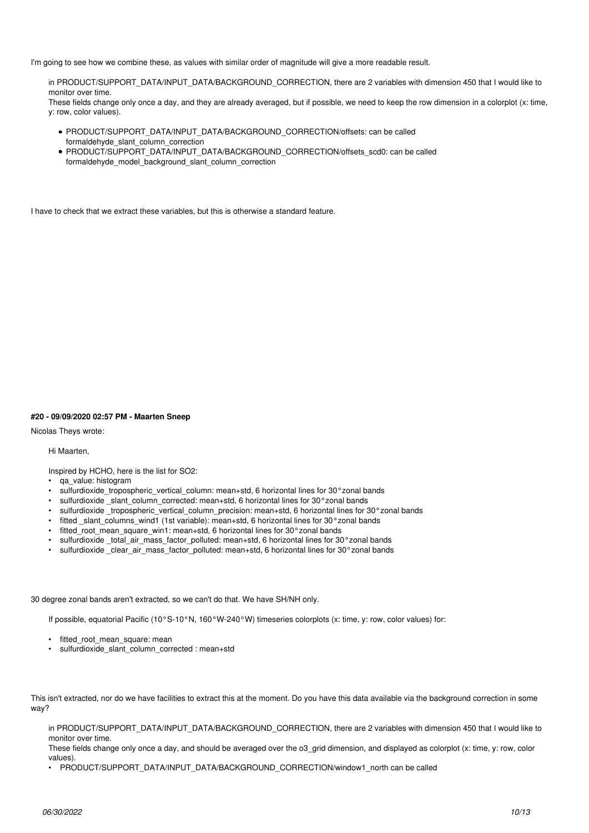I'm going to see how we combine these, as values with similar order of magnitude will give a more readable result.

in PRODUCT/SUPPORT\_DATA/INPUT\_DATA/BACKGROUND\_CORRECTION, there are 2 variables with dimension 450 that I would like to monitor over time.

These fields change only once a day, and they are already averaged, but if possible, we need to keep the row dimension in a colorplot (x: time, y: row, color values).

- PRODUCT/SUPPORT\_DATA/INPUT\_DATA/BACKGROUND\_CORRECTION/offsets: can be called formaldehyde\_slant\_column\_correction
- PRODUCT/SUPPORT\_DATA/INPUT\_DATA/BACKGROUND\_CORRECTION/offsets\_scd0: can be called formaldehyde\_model\_background\_slant\_column\_correction

I have to check that we extract these variables, but this is otherwise a standard feature.

# **#20 - 09/09/2020 02:57 PM - Maarten Sneep**

Nicolas Theys wrote:

Hi Maarten,

Inspired by HCHO, here is the list for SO2:

- qa\_value: histogram
- sulfurdioxide\_tropospheric\_vertical\_column: mean+std, 6 horizontal lines for 30°zonal bands
- sulfurdioxide \_slant\_column\_corrected: mean+std, 6 horizontal lines for 30°zonal bands
- sulfurdioxide \_tropospheric\_vertical\_column\_precision: mean+std, 6 horizontal lines for 30°zonal bands
- fitted slant columns wind1 (1st variable): mean+std, 6 horizontal lines for 30°zonal bands
- fitted root mean square win1: mean+std, 6 horizontal lines for 30°zonal bands
- sulfurdioxide \_total\_air\_mass\_factor\_polluted: mean+std, 6 horizontal lines for 30°zonal bands
- sulfurdioxide clear air mass factor polluted: mean+std, 6 horizontal lines for 30°zonal bands

30 degree zonal bands aren't extracted, so we can't do that. We have SH/NH only.

If possible, equatorial Pacific (10°S-10°N, 160°W-240°W) timeseries colorplots (x: time, y: row, color values) for:

- fitted root mean square: mean
- sulfurdioxide\_slant\_column\_corrected : mean+std

This isn't extracted, nor do we have facilities to extract this at the moment. Do you have this data available via the background correction in some way?

in PRODUCT/SUPPORT\_DATA/INPUT\_DATA/BACKGROUND\_CORRECTION, there are 2 variables with dimension 450 that I would like to monitor over time.

These fields change only once a day, and should be averaged over the o3\_grid dimension, and displayed as colorplot (x: time, y: row, color values).

• PRODUCT/SUPPORT\_DATA/INPUT\_DATA/BACKGROUND\_CORRECTION/window1\_north can be called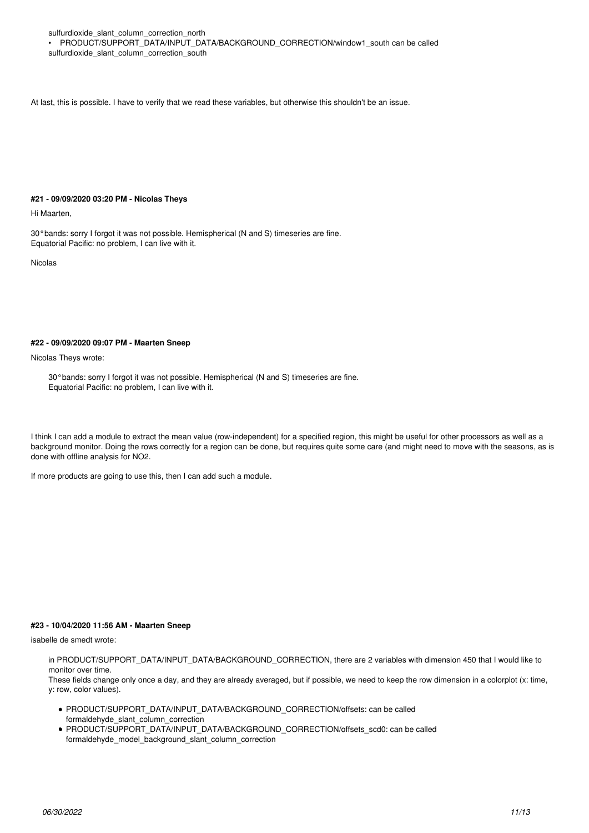sulfurdioxide\_slant\_column\_correction\_north

• PRODUCT/SUPPORT\_DATA/INPUT\_DATA/BACKGROUND\_CORRECTION/window1\_south can be called sulfurdioxide\_slant\_column\_correction\_south

At last, this is possible. I have to verify that we read these variables, but otherwise this shouldn't be an issue.

### **#21 - 09/09/2020 03:20 PM - Nicolas Theys**

Hi Maarten,

30°bands: sorry I forgot it was not possible. Hemispherical (N and S) timeseries are fine. Equatorial Pacific: no problem, I can live with it.

Nicolas

# **#22 - 09/09/2020 09:07 PM - Maarten Sneep**

Nicolas Theys wrote:

30°bands: sorry I forgot it was not possible. Hemispherical (N and S) timeseries are fine. Equatorial Pacific: no problem, I can live with it.

I think I can add a module to extract the mean value (row-independent) for a specified region, this might be useful for other processors as well as a background monitor. Doing the rows correctly for a region can be done, but requires quite some care (and might need to move with the seasons, as is done with offline analysis for NO2.

If more products are going to use this, then I can add such a module.

#### **#23 - 10/04/2020 11:56 AM - Maarten Sneep**

isabelle de smedt wrote:

in PRODUCT/SUPPORT\_DATA/INPUT\_DATA/BACKGROUND\_CORRECTION, there are 2 variables with dimension 450 that I would like to monitor over time.

These fields change only once a day, and they are already averaged, but if possible, we need to keep the row dimension in a colorplot (x: time, y: row, color values).

- PRODUCT/SUPPORT\_DATA/INPUT\_DATA/BACKGROUND\_CORRECTION/offsets: can be called formaldehyde\_slant\_column\_correction
- PRODUCT/SUPPORT\_DATA/INPUT\_DATA/BACKGROUND\_CORRECTION/offsets\_scd0: can be called formaldehyde\_model\_background\_slant\_column\_correction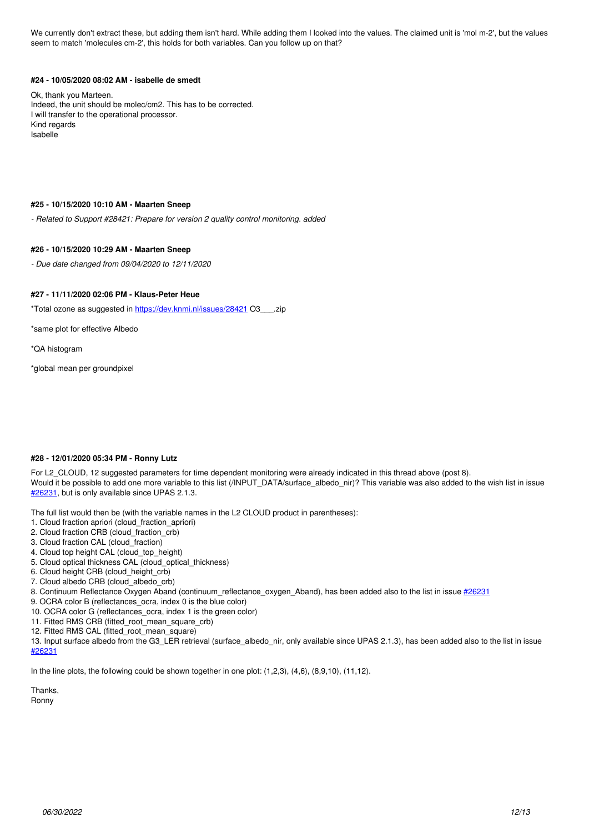We currently don't extract these, but adding them isn't hard. While adding them I looked into the values. The claimed unit is 'mol m-2', but the values seem to match 'molecules cm-2', this holds for both variables. Can you follow up on that?

# **#24 - 10/05/2020 08:02 AM - isabelle de smedt**

Ok, thank you Marteen. Indeed, the unit should be molec/cm2. This has to be corrected. I will transfer to the operational processor. Kind regards Isabelle

#### **#25 - 10/15/2020 10:10 AM - Maarten Sneep**

*- Related to Support #28421: Prepare for version 2 quality control monitoring. added*

#### **#26 - 10/15/2020 10:29 AM - Maarten Sneep**

*- Due date changed from 09/04/2020 to 12/11/2020*

#### **#27 - 11/11/2020 02:06 PM - Klaus-Peter Heue**

\*Total ozone as suggested in <https://dev.knmi.nl/issues/28421> O3\_\_\_.zip

\*same plot for effective Albedo

\*QA histogram

\*global mean per groundpixel

## **#28 - 12/01/2020 05:34 PM - Ronny Lutz**

For L2 CLOUD, 12 suggested parameters for time dependent monitoring were already indicated in this thread above (post 8). Would it be possible to add one more variable to this list (/INPUT\_DATA/surface\_albedo\_nir)? This variable was also added to the wish list in issue [#26231,](https://dev.knmi.nl/issues/26231) but is only available since UPAS 2.1.3.

The full list would then be (with the variable names in the L2 CLOUD product in parentheses):

- 1. Cloud fraction apriori (cloud fraction apriori)
- 2. Cloud fraction CRB (cloud\_fraction\_crb)
- 3. Cloud fraction CAL (cloud\_fraction)
- 4. Cloud top height CAL (cloud\_top\_height)
- 5. Cloud optical thickness CAL (cloud\_optical\_thickness)
- 6. Cloud height CRB (cloud\_height\_crb)
- 7. Cloud albedo CRB (cloud\_albedo\_crb)
- 8. Continuum Reflectance Oxygen Aband (continuum\_reflectance\_oxygen\_Aband), has been added also to the list in issue [#26231](https://dev.knmi.nl/issues/26231)
- 9. OCRA color B (reflectances\_ocra, index 0 is the blue color)
- 10. OCRA color G (reflectances\_ocra, index 1 is the green color)
- 11. Fitted RMS CRB (fitted\_root\_mean\_square\_crb)
- 12. Fitted RMS CAL (fitted\_root\_mean\_square)

13. Input surface albedo from the G3\_LER retrieval (surface\_albedo\_nir, only available since UPAS 2.1.3), has been added also to the list in issue [#26231](https://dev.knmi.nl/issues/26231)

In the line plots, the following could be shown together in one plot:  $(1,2,3)$ ,  $(4,6)$ ,  $(8,9,10)$ ,  $(11,12)$ .

Thanks,

Ronny